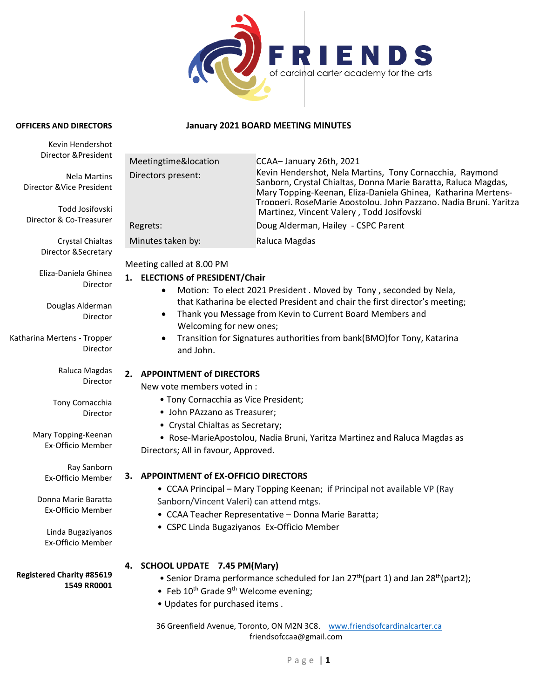

#### **January 2021 BOARD MEETING MINUTES**

**OFFICERS AND DIRECTORS**

| Kevin Hendershot                                                                                                                                                                                                                                                       |                                                                                                                                                                                                                                                                                                                                                                                                                                                                                                                                                                                                                                                                                                                                                                     |                                                                                                                                                                                                                                                                                                               |
|------------------------------------------------------------------------------------------------------------------------------------------------------------------------------------------------------------------------------------------------------------------------|---------------------------------------------------------------------------------------------------------------------------------------------------------------------------------------------------------------------------------------------------------------------------------------------------------------------------------------------------------------------------------------------------------------------------------------------------------------------------------------------------------------------------------------------------------------------------------------------------------------------------------------------------------------------------------------------------------------------------------------------------------------------|---------------------------------------------------------------------------------------------------------------------------------------------------------------------------------------------------------------------------------------------------------------------------------------------------------------|
| Director & President                                                                                                                                                                                                                                                   | Meetingtime&location                                                                                                                                                                                                                                                                                                                                                                                                                                                                                                                                                                                                                                                                                                                                                | CCAA-January 26th, 2021                                                                                                                                                                                                                                                                                       |
| <b>Nela Martins</b><br>Director & Vice President<br>Todd Josifovski                                                                                                                                                                                                    | Directors present:                                                                                                                                                                                                                                                                                                                                                                                                                                                                                                                                                                                                                                                                                                                                                  | Kevin Hendershot, Nela Martins, Tony Cornacchia, Raymond<br>Sanborn, Crystal Chialtas, Donna Marie Baratta, Raluca Magdas,<br>Mary Topping-Keenan, Eliza-Daniela Ghinea, Katharina Mertens-<br>Tropperi, RoseMarie Apostolou, John Pazzano, Nadia Bruni, Yaritza<br>Martinez, Vincent Valery, Todd Josifovski |
| Director & Co-Treasurer                                                                                                                                                                                                                                                | Regrets:                                                                                                                                                                                                                                                                                                                                                                                                                                                                                                                                                                                                                                                                                                                                                            | Doug Alderman, Hailey - CSPC Parent                                                                                                                                                                                                                                                                           |
|                                                                                                                                                                                                                                                                        |                                                                                                                                                                                                                                                                                                                                                                                                                                                                                                                                                                                                                                                                                                                                                                     |                                                                                                                                                                                                                                                                                                               |
| Crystal Chialtas<br>Director & Secretary<br>Eliza-Daniela Ghinea<br>Director<br>Douglas Alderman<br>Director<br>Katharina Mertens - Tropper<br>Director<br>Raluca Magdas<br>Director<br>Tony Cornacchia<br>Director<br>Mary Topping-Keenan<br><b>Ex-Officio Member</b> | Raluca Magdas<br>Minutes taken by:<br>Meeting called at 8.00 PM<br>1. ELECTIONS of PRESIDENT/Chair<br>Motion: To elect 2021 President . Moved by Tony, seconded by Nela,<br>٠<br>that Katharina be elected President and chair the first director's meeting;<br>Thank you Message from Kevin to Current Board Members and<br>$\bullet$<br>Welcoming for new ones;<br>Transition for Signatures authorities from bank(BMO)for Tony, Katarina<br>$\bullet$<br>and John.<br>2. APPOINTMENT of DIRECTORS<br>New vote members voted in :<br>• Tony Cornacchia as Vice President;<br>• John PAzzano as Treasurer;<br>• Crystal Chialtas as Secretary;<br>• Rose-MarieApostolou, Nadia Bruni, Yaritza Martinez and Raluca Magdas as<br>Directors; All in favour, Approved. |                                                                                                                                                                                                                                                                                                               |
| Ray Sanborn                                                                                                                                                                                                                                                            |                                                                                                                                                                                                                                                                                                                                                                                                                                                                                                                                                                                                                                                                                                                                                                     |                                                                                                                                                                                                                                                                                                               |
| Ex-Officio Member<br>Donna Marie Baratta<br>Ex-Officio Member<br>Linda Bugaziyanos                                                                                                                                                                                     | 3. APPOINTMENT of EX-OFFICIO DIRECTORS<br>• CCAA Principal - Mary Topping Keenan; if Principal not available VP (Ray<br>Sanborn/Vincent Valeri) can attend mtgs.<br>• CCAA Teacher Representative - Donna Marie Baratta;<br>• CSPC Linda Bugaziyanos Ex-Officio Member                                                                                                                                                                                                                                                                                                                                                                                                                                                                                              |                                                                                                                                                                                                                                                                                                               |
| Ex-Officio Member<br><b>Registered Charity #85619</b><br>1549 RR0001                                                                                                                                                                                                   | 4. SCHOOL UPDATE 7.45 PM(Mary)<br>• Feb $10^{th}$ Grade 9 <sup>th</sup> Welcome evening;<br>. Updates for purchased items.                                                                                                                                                                                                                                                                                                                                                                                                                                                                                                                                                                                                                                          | • Senior Drama performance scheduled for Jan $27th$ (part 1) and Jan $28th$ (part2);<br>36 Greenfield Avenue, Toronto, ON M2N 3C8. www.friendsofcardinalcarter.ca<br>friendsofccaa@gmail.com                                                                                                                  |
|                                                                                                                                                                                                                                                                        |                                                                                                                                                                                                                                                                                                                                                                                                                                                                                                                                                                                                                                                                                                                                                                     |                                                                                                                                                                                                                                                                                                               |